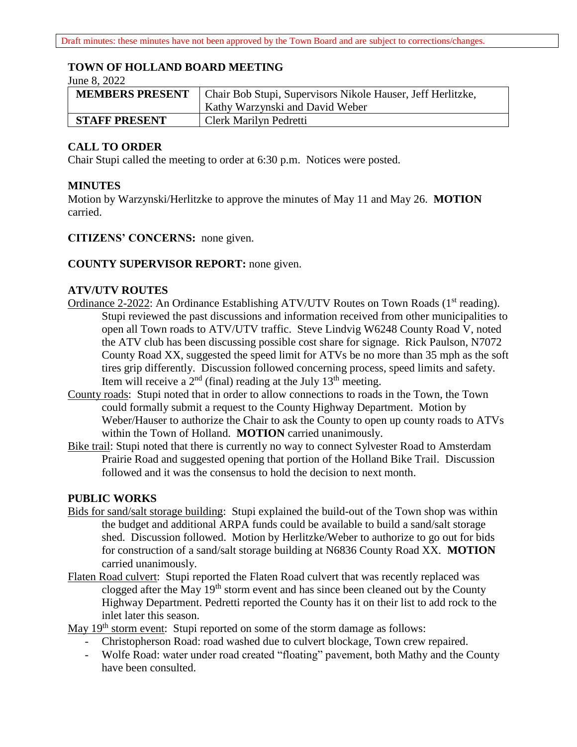## **TOWN OF HOLLAND BOARD MEETING**

June 8, 2022

| <b>MEMBERS PRESENT</b> | ' Chair Bob Stupi, Supervisors Nikole Hauser, Jeff Herlitzke, |
|------------------------|---------------------------------------------------------------|
|                        | Kathy Warzynski and David Weber                               |
| <b>STAFF PRESENT</b>   | Clerk Marilyn Pedretti                                        |

## **CALL TO ORDER**

Chair Stupi called the meeting to order at 6:30 p.m. Notices were posted.

#### **MINUTES**

Motion by Warzynski/Herlitzke to approve the minutes of May 11 and May 26. **MOTION** carried.

**CITIZENS' CONCERNS:** none given.

#### **COUNTY SUPERVISOR REPORT:** none given.

#### **ATV/UTV ROUTES**

- Ordinance 2-2022: An Ordinance Establishing ATV/UTV Routes on Town Roads (1<sup>st</sup> reading). Stupi reviewed the past discussions and information received from other municipalities to open all Town roads to ATV/UTV traffic. Steve Lindvig W6248 County Road V, noted the ATV club has been discussing possible cost share for signage. Rick Paulson, N7072 County Road XX, suggested the speed limit for ATVs be no more than 35 mph as the soft tires grip differently. Discussion followed concerning process, speed limits and safety. Item will receive a  $2<sup>nd</sup>$  (final) reading at the July 13<sup>th</sup> meeting.
- County roads: Stupi noted that in order to allow connections to roads in the Town, the Town could formally submit a request to the County Highway Department. Motion by Weber/Hauser to authorize the Chair to ask the County to open up county roads to ATVs within the Town of Holland. **MOTION** carried unanimously.
- Bike trail: Stupi noted that there is currently no way to connect Sylvester Road to Amsterdam Prairie Road and suggested opening that portion of the Holland Bike Trail. Discussion followed and it was the consensus to hold the decision to next month.

## **PUBLIC WORKS**

- Bids for sand/salt storage building: Stupi explained the build-out of the Town shop was within the budget and additional ARPA funds could be available to build a sand/salt storage shed. Discussion followed. Motion by Herlitzke/Weber to authorize to go out for bids for construction of a sand/salt storage building at N6836 County Road XX. **MOTION** carried unanimously.
- Flaten Road culvert: Stupi reported the Flaten Road culvert that was recently replaced was clogged after the May  $19<sup>th</sup>$  storm event and has since been cleaned out by the County Highway Department. Pedretti reported the County has it on their list to add rock to the inlet later this season.

May 19<sup>th</sup> storm event: Stupi reported on some of the storm damage as follows:

- Christopherson Road: road washed due to culvert blockage, Town crew repaired.
- Wolfe Road: water under road created "floating" pavement, both Mathy and the County have been consulted.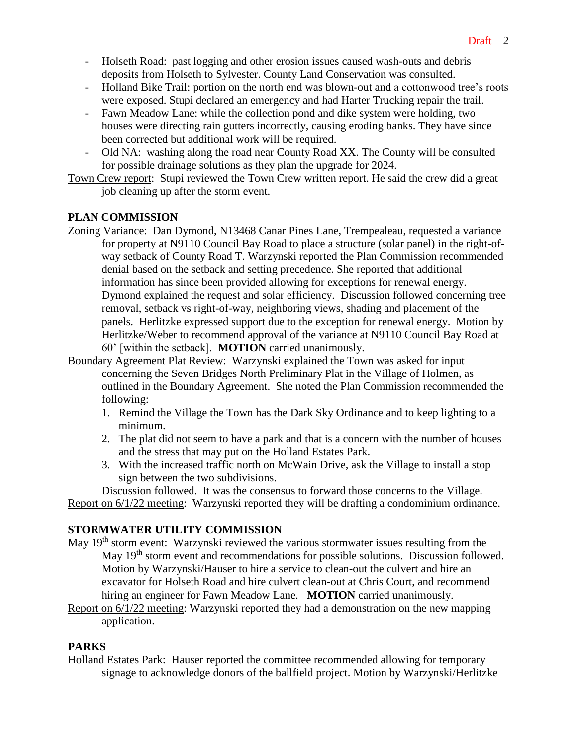- Holseth Road: past logging and other erosion issues caused wash-outs and debris deposits from Holseth to Sylvester. County Land Conservation was consulted.
- Holland Bike Trail: portion on the north end was blown-out and a cottonwood tree's roots were exposed. Stupi declared an emergency and had Harter Trucking repair the trail.
- Fawn Meadow Lane: while the collection pond and dike system were holding, two houses were directing rain gutters incorrectly, causing eroding banks. They have since been corrected but additional work will be required.
- Old NA: washing along the road near County Road XX. The County will be consulted for possible drainage solutions as they plan the upgrade for 2024.

Town Crew report: Stupi reviewed the Town Crew written report. He said the crew did a great job cleaning up after the storm event.

## **PLAN COMMISSION**

- Zoning Variance: Dan Dymond, N13468 Canar Pines Lane, Trempealeau, requested a variance for property at N9110 Council Bay Road to place a structure (solar panel) in the right-ofway setback of County Road T. Warzynski reported the Plan Commission recommended denial based on the setback and setting precedence. She reported that additional information has since been provided allowing for exceptions for renewal energy. Dymond explained the request and solar efficiency. Discussion followed concerning tree removal, setback vs right-of-way, neighboring views, shading and placement of the panels. Herlitzke expressed support due to the exception for renewal energy. Motion by Herlitzke/Weber to recommend approval of the variance at N9110 Council Bay Road at 60' [within the setback]. **MOTION** carried unanimously.
- Boundary Agreement Plat Review: Warzynski explained the Town was asked for input concerning the Seven Bridges North Preliminary Plat in the Village of Holmen, as outlined in the Boundary Agreement. She noted the Plan Commission recommended the following:
	- 1. Remind the Village the Town has the Dark Sky Ordinance and to keep lighting to a minimum.
	- 2. The plat did not seem to have a park and that is a concern with the number of houses and the stress that may put on the Holland Estates Park.
	- 3. With the increased traffic north on McWain Drive, ask the Village to install a stop sign between the two subdivisions.

Discussion followed. It was the consensus to forward those concerns to the Village. Report on 6/1/22 meeting: Warzynski reported they will be drafting a condominium ordinance.

# **STORMWATER UTILITY COMMISSION**

- May 19<sup>th</sup> storm event: Warzynski reviewed the various stormwater issues resulting from the May 19<sup>th</sup> storm event and recommendations for possible solutions. Discussion followed. Motion by Warzynski/Hauser to hire a service to clean-out the culvert and hire an excavator for Holseth Road and hire culvert clean-out at Chris Court, and recommend hiring an engineer for Fawn Meadow Lane. **MOTION** carried unanimously.
- Report on 6/1/22 meeting: Warzynski reported they had a demonstration on the new mapping application.

# **PARKS**

Holland Estates Park: Hauser reported the committee recommended allowing for temporary signage to acknowledge donors of the ballfield project. Motion by Warzynski/Herlitzke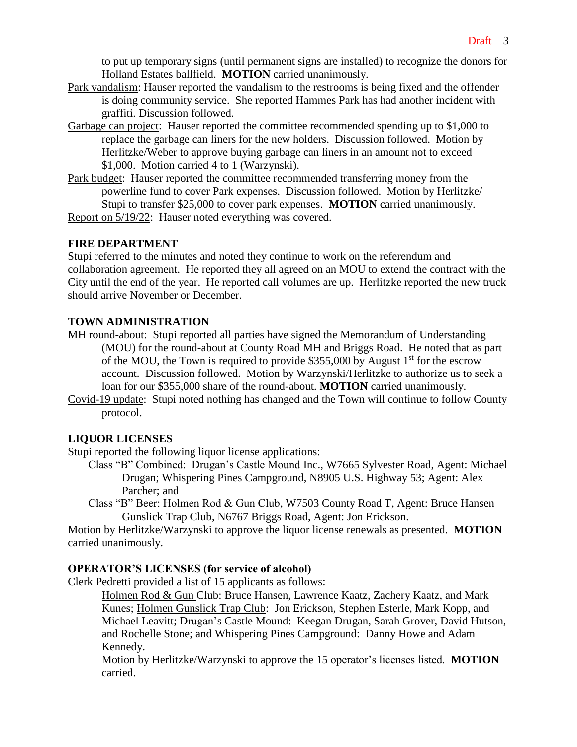to put up temporary signs (until permanent signs are installed) to recognize the donors for Holland Estates ballfield. **MOTION** carried unanimously.

- Park vandalism: Hauser reported the vandalism to the restrooms is being fixed and the offender is doing community service. She reported Hammes Park has had another incident with graffiti. Discussion followed.
- Garbage can project: Hauser reported the committee recommended spending up to \$1,000 to replace the garbage can liners for the new holders. Discussion followed. Motion by Herlitzke/Weber to approve buying garbage can liners in an amount not to exceed \$1,000. Motion carried 4 to 1 (Warzynski).
- Park budget: Hauser reported the committee recommended transferring money from the powerline fund to cover Park expenses. Discussion followed. Motion by Herlitzke/ Stupi to transfer \$25,000 to cover park expenses. **MOTION** carried unanimously. Report on  $\frac{5}{19/22}$ : Hauser noted everything was covered.

## **FIRE DEPARTMENT**

Stupi referred to the minutes and noted they continue to work on the referendum and collaboration agreement. He reported they all agreed on an MOU to extend the contract with the City until the end of the year. He reported call volumes are up. Herlitzke reported the new truck should arrive November or December.

## **TOWN ADMINISTRATION**

- MH round-about: Stupi reported all parties have signed the Memorandum of Understanding (MOU) for the round-about at County Road MH and Briggs Road. He noted that as part of the MOU, the Town is required to provide \$355,000 by August  $1<sup>st</sup>$  for the escrow account. Discussion followed. Motion by Warzynski/Herlitzke to authorize us to seek a loan for our \$355,000 share of the round-about. **MOTION** carried unanimously.
- Covid-19 update: Stupi noted nothing has changed and the Town will continue to follow County protocol.

# **LIQUOR LICENSES**

Stupi reported the following liquor license applications:

- Class "B" Combined: Drugan's Castle Mound Inc., W7665 Sylvester Road, Agent: Michael Drugan; Whispering Pines Campground, N8905 U.S. Highway 53; Agent: Alex Parcher; and
- Class "B" Beer: Holmen Rod & Gun Club, W7503 County Road T, Agent: Bruce Hansen Gunslick Trap Club, N6767 Briggs Road, Agent: Jon Erickson.

Motion by Herlitzke/Warzynski to approve the liquor license renewals as presented. **MOTION**  carried unanimously.

## **OPERATOR'S LICENSES (for service of alcohol)**

Clerk Pedretti provided a list of 15 applicants as follows:

Holmen Rod & Gun Club: Bruce Hansen, Lawrence Kaatz, Zachery Kaatz, and Mark Kunes; Holmen Gunslick Trap Club: Jon Erickson, Stephen Esterle, Mark Kopp, and Michael Leavitt; Drugan's Castle Mound: Keegan Drugan, Sarah Grover, David Hutson, and Rochelle Stone; and Whispering Pines Campground: Danny Howe and Adam Kennedy.

Motion by Herlitzke/Warzynski to approve the 15 operator's licenses listed. **MOTION** carried.